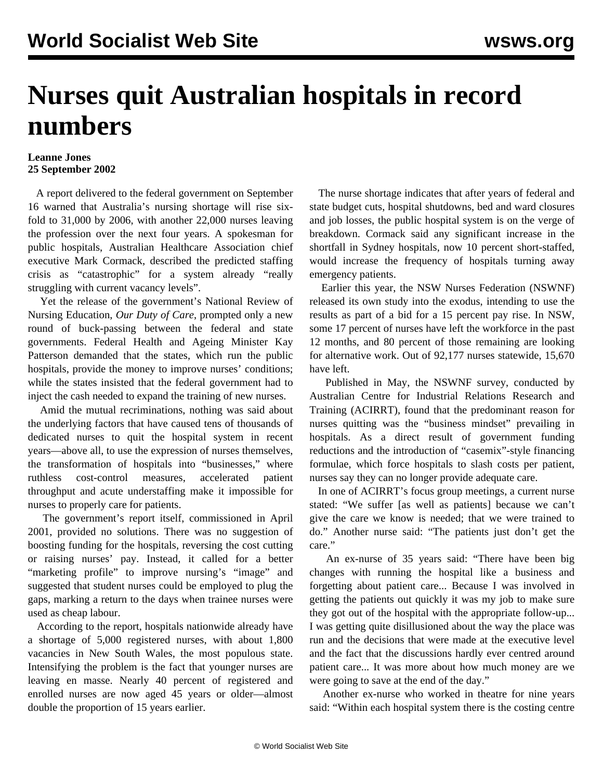## **Nurses quit Australian hospitals in record numbers**

## **Leanne Jones 25 September 2002**

 A report delivered to the federal government on September 16 warned that Australia's nursing shortage will rise sixfold to 31,000 by 2006, with another 22,000 nurses leaving the profession over the next four years. A spokesman for public hospitals, Australian Healthcare Association chief executive Mark Cormack, described the predicted staffing crisis as "catastrophic" for a system already "really struggling with current vacancy levels".

 Yet the release of the government's National Review of Nursing Education, *Our Duty of Care*, prompted only a new round of buck-passing between the federal and state governments. Federal Health and Ageing Minister Kay Patterson demanded that the states, which run the public hospitals, provide the money to improve nurses' conditions; while the states insisted that the federal government had to inject the cash needed to expand the training of new nurses.

 Amid the mutual recriminations, nothing was said about the underlying factors that have caused tens of thousands of dedicated nurses to quit the hospital system in recent years—above all, to use the expression of nurses themselves, the transformation of hospitals into "businesses," where ruthless cost-control measures, accelerated patient throughput and acute understaffing make it impossible for nurses to properly care for patients.

 The government's report itself, commissioned in April 2001, provided no solutions. There was no suggestion of boosting funding for the hospitals, reversing the cost cutting or raising nurses' pay. Instead, it called for a better "marketing profile" to improve nursing's "image" and suggested that student nurses could be employed to plug the gaps, marking a return to the days when trainee nurses were used as cheap labour.

 According to the report, hospitals nationwide already have a shortage of 5,000 registered nurses, with about 1,800 vacancies in New South Wales, the most populous state. Intensifying the problem is the fact that younger nurses are leaving en masse. Nearly 40 percent of registered and enrolled nurses are now aged 45 years or older—almost double the proportion of 15 years earlier.

 The nurse shortage indicates that after years of federal and state budget cuts, hospital shutdowns, bed and ward closures and job losses, the public hospital system is on the verge of breakdown. Cormack said any significant increase in the shortfall in Sydney hospitals, now 10 percent short-staffed, would increase the frequency of hospitals turning away emergency patients.

 Earlier this year, the NSW Nurses Federation (NSWNF) released its own study into the exodus, intending to use the results as part of a bid for a 15 percent pay rise. In NSW, some 17 percent of nurses have left the workforce in the past 12 months, and 80 percent of those remaining are looking for alternative work. Out of 92,177 nurses statewide, 15,670 have left.

 Published in May, the NSWNF survey, conducted by Australian Centre for Industrial Relations Research and Training (ACIRRT), found that the predominant reason for nurses quitting was the "business mindset" prevailing in hospitals. As a direct result of government funding reductions and the introduction of "casemix"-style financing formulae, which force hospitals to slash costs per patient, nurses say they can no longer provide adequate care.

 In one of ACIRRT's focus group meetings, a current nurse stated: "We suffer [as well as patients] because we can't give the care we know is needed; that we were trained to do." Another nurse said: "The patients just don't get the care."

 An ex-nurse of 35 years said: "There have been big changes with running the hospital like a business and forgetting about patient care... Because I was involved in getting the patients out quickly it was my job to make sure they got out of the hospital with the appropriate follow-up... I was getting quite disillusioned about the way the place was run and the decisions that were made at the executive level and the fact that the discussions hardly ever centred around patient care... It was more about how much money are we were going to save at the end of the day."

 Another ex-nurse who worked in theatre for nine years said: "Within each hospital system there is the costing centre